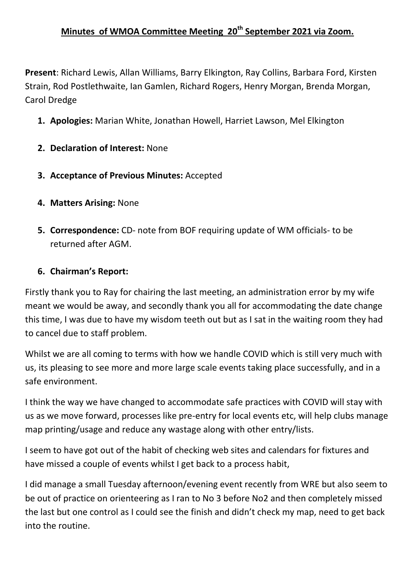## **Minutes of WMOA Committee Meeting 20th September 2021 via Zoom.**

**Present**: Richard Lewis, Allan Williams, Barry Elkington, Ray Collins, Barbara Ford, Kirsten Strain, Rod Postlethwaite, Ian Gamlen, Richard Rogers, Henry Morgan, Brenda Morgan, Carol Dredge

- **1. Apologies:** Marian White, Jonathan Howell, Harriet Lawson, Mel Elkington
- **2. Declaration of Interest:** None
- **3. Acceptance of Previous Minutes:** Accepted
- **4. Matters Arising:** None
- **5. Correspondence:** CD- note from BOF requiring update of WM officials- to be returned after AGM.

#### **6. Chairman's Report:**

Firstly thank you to Ray for chairing the last meeting, an administration error by my wife meant we would be away, and secondly thank you all for accommodating the date change this time, I was due to have my wisdom teeth out but as I sat in the waiting room they had to cancel due to staff problem.

Whilst we are all coming to terms with how we handle COVID which is still very much with us, its pleasing to see more and more large scale events taking place successfully, and in a safe environment.

I think the way we have changed to accommodate safe practices with COVID will stay with us as we move forward, processes like pre-entry for local events etc, will help clubs manage map printing/usage and reduce any wastage along with other entry/lists.

I seem to have got out of the habit of checking web sites and calendars for fixtures and have missed a couple of events whilst I get back to a process habit,

I did manage a small Tuesday afternoon/evening event recently from WRE but also seem to be out of practice on orienteering as I ran to No 3 before No2 and then completely missed the last but one control as I could see the finish and didn't check my map, need to get back into the routine.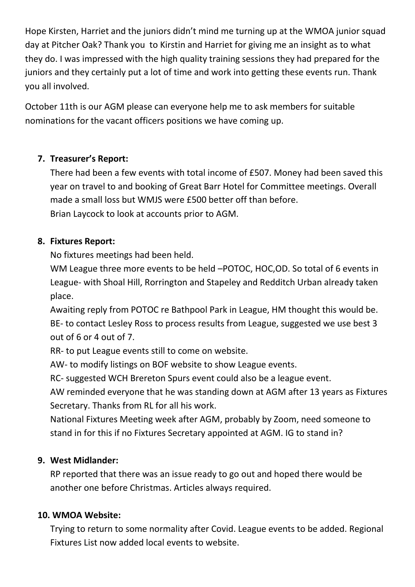Hope Kirsten, Harriet and the juniors didn't mind me turning up at the WMOA junior squad day at Pitcher Oak? Thank you to Kirstin and Harriet for giving me an insight as to what they do. I was impressed with the high quality training sessions they had prepared for the juniors and they certainly put a lot of time and work into getting these events run. Thank you all involved.

October 11th is our AGM please can everyone help me to ask members for suitable nominations for the vacant officers positions we have coming up.

# **7. Treasurer's Report:**

There had been a few events with total income of £507. Money had been saved this year on travel to and booking of Great Barr Hotel for Committee meetings. Overall made a small loss but WMJS were £500 better off than before. Brian Laycock to look at accounts prior to AGM.

## **8. Fixtures Report:**

No fixtures meetings had been held.

WM League three more events to be held –POTOC, HOC,OD. So total of 6 events in League- with Shoal Hill, Rorrington and Stapeley and Redditch Urban already taken place.

Awaiting reply from POTOC re Bathpool Park in League, HM thought this would be. BE- to contact Lesley Ross to process results from League, suggested we use best 3 out of 6 or 4 out of 7.

RR- to put League events still to come on website.

AW- to modify listings on BOF website to show League events.

RC- suggested WCH Brereton Spurs event could also be a league event.

AW reminded everyone that he was standing down at AGM after 13 years as Fixtures Secretary. Thanks from RL for all his work.

National Fixtures Meeting week after AGM, probably by Zoom, need someone to stand in for this if no Fixtures Secretary appointed at AGM. IG to stand in?

## **9. West Midlander:**

RP reported that there was an issue ready to go out and hoped there would be another one before Christmas. Articles always required.

## **10. WMOA Website:**

Trying to return to some normality after Covid. League events to be added. Regional Fixtures List now added local events to website.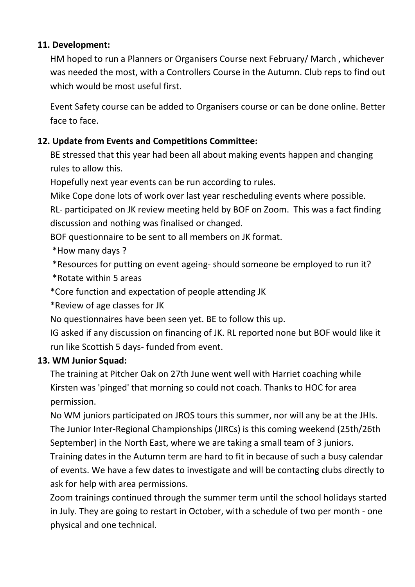## **11. Development:**

HM hoped to run a Planners or Organisers Course next February/ March , whichever was needed the most, with a Controllers Course in the Autumn. Club reps to find out which would be most useful first.

Event Safety course can be added to Organisers course or can be done online. Better face to face.

## **12. Update from Events and Competitions Committee:**

BE stressed that this year had been all about making events happen and changing rules to allow this.

Hopefully next year events can be run according to rules.

Mike Cope done lots of work over last year rescheduling events where possible.

RL- participated on JK review meeting held by BOF on Zoom. This was a fact finding discussion and nothing was finalised or changed.

BOF questionnaire to be sent to all members on JK format.

\*How many days ?

\*Resources for putting on event ageing- should someone be employed to run it?

\*Rotate within 5 areas

\*Core function and expectation of people attending JK

\*Review of age classes for JK

No questionnaires have been seen yet. BE to follow this up.

IG asked if any discussion on financing of JK. RL reported none but BOF would like it run like Scottish 5 days- funded from event.

#### **13. WM Junior Squad:**

The training at Pitcher Oak on 27th June went well with Harriet coaching while Kirsten was 'pinged' that morning so could not coach. Thanks to HOC for area permission.

No WM juniors participated on JROS tours this summer, nor will any be at the JHIs. The Junior Inter-Regional Championships (JIRCs) is this coming weekend (25th/26th September) in the North East, where we are taking a small team of 3 juniors.

Training dates in the Autumn term are hard to fit in because of such a busy calendar of events. We have a few dates to investigate and will be contacting clubs directly to ask for help with area permissions.

Zoom trainings continued through the summer term until the school holidays started in July. They are going to restart in October, with a schedule of two per month - one physical and one technical.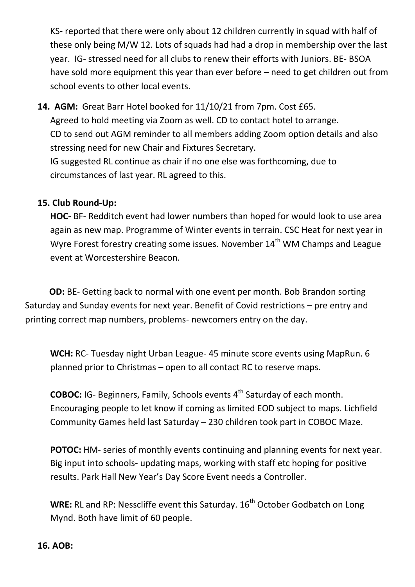KS- reported that there were only about 12 children currently in squad with half of these only being M/W 12. Lots of squads had had a drop in membership over the last year. IG- stressed need for all clubs to renew their efforts with Juniors. BE- BSOA have sold more equipment this year than ever before – need to get children out from school events to other local events.

**14. AGM:** Great Barr Hotel booked for 11/10/21 from 7pm. Cost £65. Agreed to hold meeting via Zoom as well. CD to contact hotel to arrange. CD to send out AGM reminder to all members adding Zoom option details and also stressing need for new Chair and Fixtures Secretary. IG suggested RL continue as chair if no one else was forthcoming, due to circumstances of last year. RL agreed to this.

#### **15. Club Round-Up:**

**HOC-** BF- Redditch event had lower numbers than hoped for would look to use area again as new map. Programme of Winter events in terrain. CSC Heat for next year in Wyre Forest forestry creating some issues. November 14<sup>th</sup> WM Champs and League event at Worcestershire Beacon.

**OD:** BE- Getting back to normal with one event per month. Bob Brandon sorting Saturday and Sunday events for next year. Benefit of Covid restrictions – pre entry and printing correct map numbers, problems- newcomers entry on the day.

**WCH:** RC- Tuesday night Urban League- 45 minute score events using MapRun. 6 planned prior to Christmas – open to all contact RC to reserve maps.

**COBOC:** IG- Beginners, Family, Schools events 4<sup>th</sup> Saturday of each month. Encouraging people to let know if coming as limited EOD subject to maps. Lichfield Community Games held last Saturday – 230 children took part in COBOC Maze.

**POTOC:** HM- series of monthly events continuing and planning events for next year. Big input into schools- updating maps, working with staff etc hoping for positive results. Park Hall New Year's Day Score Event needs a Controller.

**WRE:** RL and RP: Nesscliffe event this Saturday. 16<sup>th</sup> October Godbatch on Long Mynd. Both have limit of 60 people.

#### **16. AOB:**